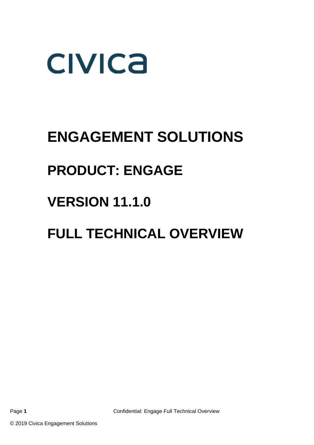

## **ENGAGEMENT SOLUTIONS**

## **PRODUCT: ENGAGE**

## **VERSION 11.1.0**

## **FULL TECHNICAL OVERVIEW**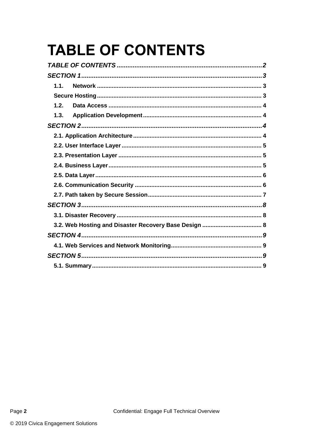# <span id="page-1-0"></span>**TABLE OF CONTENTS**

| 1.1  |
|------|
|      |
| 1.2. |
| 1.3. |
|      |
|      |
|      |
|      |
|      |
|      |
|      |
|      |
|      |
|      |
|      |
|      |
|      |
|      |
|      |

<span id="page-1-1"></span>Page 2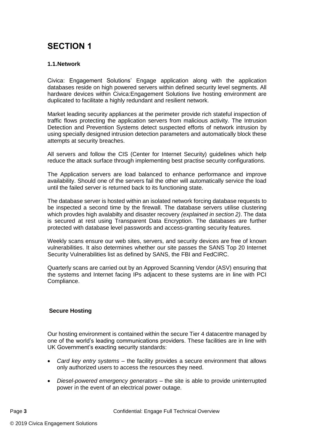## **SECTION 1**

#### <span id="page-2-0"></span>**1.1.Network**

Civica: Engagement Solutions' Engage application along with the application databases reside on high powered servers within defined security level segments. All hardware devices within Civica:Engagement Solutions live hosting environment are duplicated to facilitate a highly redundant and resilient network.

Market leading security appliances at the perimeter provide rich stateful inspection of traffic flows protecting the application servers from malicious activity. The Intrusion Detection and Prevention Systems detect suspected efforts of network intrusion by using specially designed intrusion detection parameters and automatically block these attempts at security breaches.

All servers and follow the CIS (Center for Internet Security) guidelines which help reduce the attack surface through implementing best practise security configurations.

The Application servers are load balanced to enhance performance and improve availability. Should one of the servers fail the other will automatically service the load until the failed server is returned back to its functioning state.

The database server is hosted within an isolated network forcing database requests to be inspected a second time by the firewall. The database servers utilise clustering which provdes high avalabilty and disaster recovery *(explained in section 2)*. The data is secured at rest using Transparent Data Encryption. The databases are further protected with database level passwords and access-granting security features.

Weekly scans ensure our web sites, servers, and security devices are free of known vulnerabilities. It also determines whether our site passes the SANS Top 20 Internet Security Vulnerabilities list as defined by SANS, the FBI and FedCIRC.

Quarterly scans are carried out by an Approved Scanning Vendor (ASV) ensuring that the systems and Internet facing IPs adjacent to these systems are in line with PCI Compliance.

#### <span id="page-2-1"></span>**Secure Hosting**

Our hosting environment is contained within the secure Tier 4 datacentre managed by one of the world's leading communications providers. These facilities are in line with UK Government's exacting security standards:

- *Card key entry systems* the facility provides a secure environment that allows only authorized users to access the resources they need.
- *Diesel-powered emergency generators* the site is able to provide uninterrupted power in the event of an electrical power outage.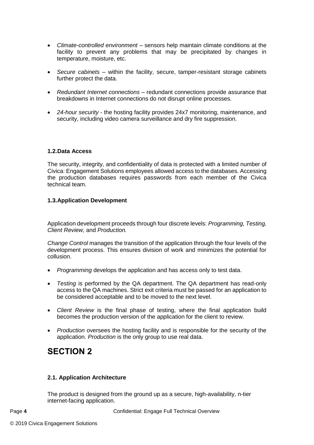- *Climate-controlled environment* sensors help maintain climate conditions at the facility to prevent any problems that may be precipitated by changes in temperature, moisture, etc.
- *Secure cabinets* within the facility, secure, tamper-resistant storage cabinets further protect the data.
- *Redundant Internet connections* redundant connections provide assurance that breakdowns in Internet connections do not disrupt online processes.
- *24-hour security* the hosting facility provides 24x7 monitoring, maintenance, and security, including video camera surveillance and dry fire suppression.

#### <span id="page-3-0"></span>**1.2.Data Access**

The security, integrity, and confidentiality of data is protected with a limited number of Civica: Engagement Solutions employees allowed access to the databases. Accessing the production databases requires passwords from each member of the Civica technical team.

#### <span id="page-3-1"></span>**1.3.Application Development**

Application development proceeds through four discrete levels: *Programming, Testing, Client Review,* and *Production.* 

*Change Control* manages the transition of the application through the four levels of the development process. This ensures division of work and minimizes the potential for collusion.

- *Programming* develops the application and has access only to test data.
- *Testing* is performed by the QA department. The QA department has read-only access to the QA machines. Strict exit criteria must be passed for an application to be considered acceptable and to be moved to the next level.
- *Client Review* is the final phase of testing, where the final application build becomes the production version of the application for the client to review.
- *Production* oversees the hosting facility and is responsible for the security of the application. *Production* is the only group to use real data.

### <span id="page-3-2"></span>**SECTION 2**

#### <span id="page-3-3"></span>**2.1. Application Architecture**

The product is designed from the ground up as a secure, high-availability, n-tier internet-facing application.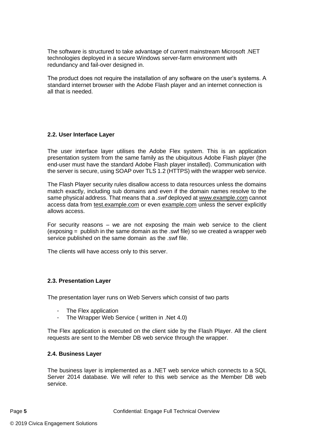The software is structured to take advantage of current mainstream Microsoft .NET technologies deployed in a secure Windows server-farm environment with redundancy and fail-over designed in.

The product does not require the installation of any software on the user's systems. A standard internet browser with the Adobe Flash player and an internet connection is all that is needed.

#### <span id="page-4-0"></span>**2.2. User Interface Layer**

The user interface layer utilises the Adobe Flex system. This is an application presentation system from the same family as the ubiquitous Adobe Flash player (the end-user must have the standard Adobe Flash player installed). Communication with the server is secure, using SOAP over TLS 1.2 (HTTPS) with the wrapper web service.

The Flash Player security rules disallow access to data resources unless the domains match exactly, including sub domains and even if the domain names resolve to the same physical address. That means that a *.swf* deployed at [www.example.com](http://www.example.com/) cannot access data from [test.example.com](http://test.example.com/) or even [example.com](http://example.com/) unless the server explicitly allows access.

For security reasons – we are not exposing the main web service to the client (exposing = publish in the same domain as the .swf file) so we created a wrapper web service published on the same domain as the .swf file.

The clients will have access only to this server.

#### <span id="page-4-1"></span>**2.3. Presentation Layer**

The presentation layer runs on Web Servers which consist of two parts

- The Flex application
- The Wrapper Web Service ( written in .Net 4.0)

The Flex application is executed on the client side by the Flash Player. All the client requests are sent to the Member DB web service through the wrapper.

#### <span id="page-4-2"></span>**2.4. Business Layer**

The business layer is implemented as a .NET web service which connects to a SQL Server 2014 database. We will refer to this web service as the Member DB web service.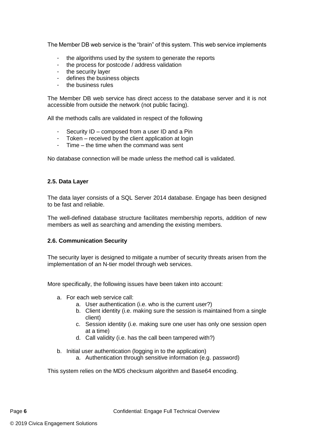The Member DB web service is the "brain" of this system. This web service implements

- the algorithms used by the system to generate the reports
- the process for postcode / address validation
- the security layer
- defines the business objects
- the business rules

The Member DB web service has direct access to the database server and it is not accessible from outside the network (not public facing).

All the methods calls are validated in respect of the following

- Security ID composed from a user ID and a Pin
- Token received by the client application at login<br>- Time the time when the command was sent
- Time the time when the command was sent

No database connection will be made unless the method call is validated.

#### <span id="page-5-0"></span>**2.5. Data Layer**

The data layer consists of a SQL Server 2014 database. Engage has been designed to be fast and reliable.

The well-defined database structure facilitates membership reports, addition of new members as well as searching and amending the existing members.

#### <span id="page-5-1"></span>**2.6. Communication Security**

The security layer is designed to mitigate a number of security threats arisen from the implementation of an N-tier model through web services.

More specifically, the following issues have been taken into account:

- a. For each web service call:
	- a. User authentication (i.e. who is the current user?)
	- b. Client identity (i.e. making sure the session is maintained from a single client)
	- c. Session identity (i.e. making sure one user has only one session open at a time)
	- d. Call validity (i.e. has the call been tampered with?)
- b. Initial user authentication (logging in to the application)
	- a. Authentication through sensitive information (e.g. password)

This system relies on the MD5 checksum algorithm and Base64 encoding.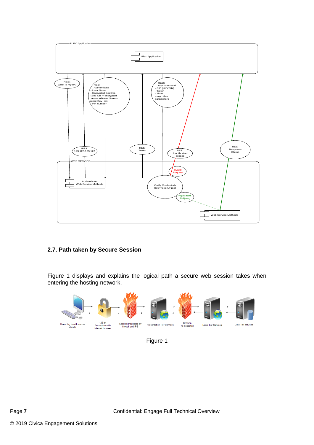

#### <span id="page-6-0"></span>**2.7. Path taken by Secure Session**

Figure 1 displays and explains the logical path a secure web session takes when entering the hosting network.



Figure 1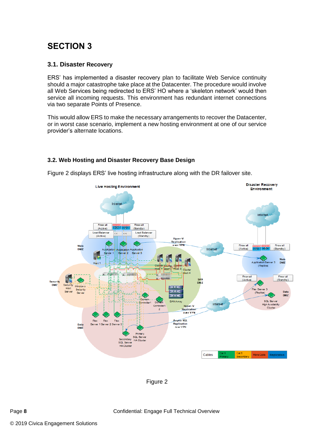### <span id="page-7-0"></span>**SECTION 3**

#### <span id="page-7-1"></span>**3.1. Disaster Recovery**

ERS' has implemented a disaster recovery plan to facilitate Web Service continuity should a major catastrophe take place at the Datacenter. The procedure would involve all Web Services being redirected to ERS' HO where a 'skeleton network' would then service all incoming requests. This environment has redundant internet connections via two separate Points of Presence.

This would allow ERS to make the necessary arrangements to recover the Datacenter, or in worst case scenario, implement a new hosting environment at one of our service provider's alternate locations.

#### <span id="page-7-2"></span>**3.2. Web Hosting and Disaster Recovery Base Design**